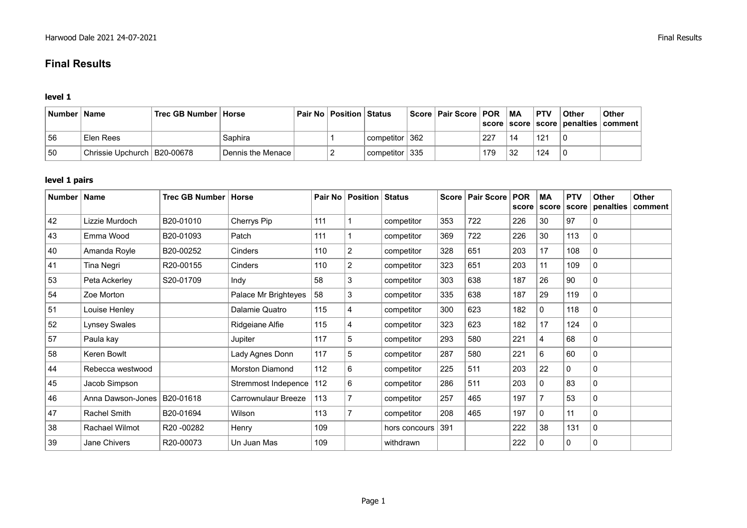# **Final Results**

#### **level 1**

| Number | <b>Name</b>                   | ∣Trec GB Number ∣ Horse |                   | <b>Pair No   Position   Status</b> |                                             | Score   Pair Score   POR |     | <b>MA</b> | <b>PTV</b> | ∣ Other | <b>Other</b><br>score   score   score   penalties   comment |
|--------|-------------------------------|-------------------------|-------------------|------------------------------------|---------------------------------------------|--------------------------|-----|-----------|------------|---------|-------------------------------------------------------------|
| 56     | Elen Rees                     |                         | Saphira           |                                    | competitor 362                              |                          | 227 | 14        | 121        |         |                                                             |
| 50     | Chrissie Upchurch   B20-00678 |                         | Dennis the Menace |                                    | $^{\circ}$ competitor $\mid$ 335 $^{\circ}$ |                          | 179 | 32        | 124        |         |                                                             |

#### **level 1 pairs**

| Number   Name |                   | Trec GB Number   Horse |                        |     | <b>Pair No   Position   Status</b> |               |     | Score   Pair Score | <b>POR</b> | <b>MA</b><br>score score | <b>PTV</b><br>score | <b>Other</b><br>penalties | <b>Other</b><br>comment |
|---------------|-------------------|------------------------|------------------------|-----|------------------------------------|---------------|-----|--------------------|------------|--------------------------|---------------------|---------------------------|-------------------------|
| 42            | Lizzie Murdoch    | B20-01010              | Cherrys Pip            | 111 |                                    | competitor    | 353 | 722                | 226        | 30                       | 97                  | 0                         |                         |
| 43            | Emma Wood         | B20-01093              | Patch                  | 111 |                                    | competitor    | 369 | 722                | 226        | 30                       | 113                 | $\mathbf{0}$              |                         |
| 40            | Amanda Royle      | B20-00252              | Cinders                | 110 | $\overline{2}$                     | competitor    | 328 | 651                | 203        | 17                       | 108                 | 0                         |                         |
| 41            | Tina Negri        | R20-00155              | Cinders                | 110 | $\overline{2}$                     | competitor    | 323 | 651                | 203        | 11                       | 109                 | 0                         |                         |
| 53            | Peta Ackerley     | S20-01709              | Indy                   | 58  | 3                                  | competitor    | 303 | 638                | 187        | 26                       | 90                  | 0                         |                         |
| 54            | Zoe Morton        |                        | Palace Mr Brighteyes   | 58  | 3                                  | competitor    | 335 | 638                | 187        | 29                       | 119                 | 0                         |                         |
| 51            | Louise Henley     |                        | Dalamie Quatro         | 115 | 4                                  | competitor    | 300 | 623                | 182        | 0                        | 118                 | 0                         |                         |
| 52            | Lynsey Swales     |                        | Ridgeiane Alfie        | 115 | 4                                  | competitor    | 323 | 623                | 182        | 17                       | 124                 | 0                         |                         |
| 57            | Paula kay         |                        | Jupiter                | 117 | 5                                  | competitor    | 293 | 580                | 221        | 4                        | 68                  | $\mathbf 0$               |                         |
| 58            | Keren Bowlt       |                        | Lady Agnes Donn        | 117 | 5                                  | competitor    | 287 | 580                | 221        | 6                        | 60                  | 0                         |                         |
| 44            | Rebecca westwood  |                        | <b>Morston Diamond</b> | 112 | 6                                  | competitor    | 225 | 511                | 203        | 22                       | 0                   | 0                         |                         |
| 45            | Jacob Simpson     |                        | Stremmost Indepence    | 112 | 6                                  | competitor    | 286 | 511                | 203        | 0                        | 83                  | 0                         |                         |
| 46            | Anna Dawson-Jones | B20-01618              | Carrownulaur Breeze    | 113 | 7                                  | competitor    | 257 | 465                | 197        |                          | 53                  | $\mathbf 0$               |                         |
| 47            | Rachel Smith      | B20-01694              | Wilson                 | 113 | 7                                  | competitor    | 208 | 465                | 197        | 0                        | 11                  | 0                         |                         |
| 38            | Rachael Wilmot    | R20-00282              | Henry                  | 109 |                                    | hors concours | 391 |                    | 222        | 38                       | 131                 | 0                         |                         |
| 39            | Jane Chivers      | R20-00073              | Un Juan Mas            | 109 |                                    | withdrawn     |     |                    | 222        | 0                        | 0                   | 0                         |                         |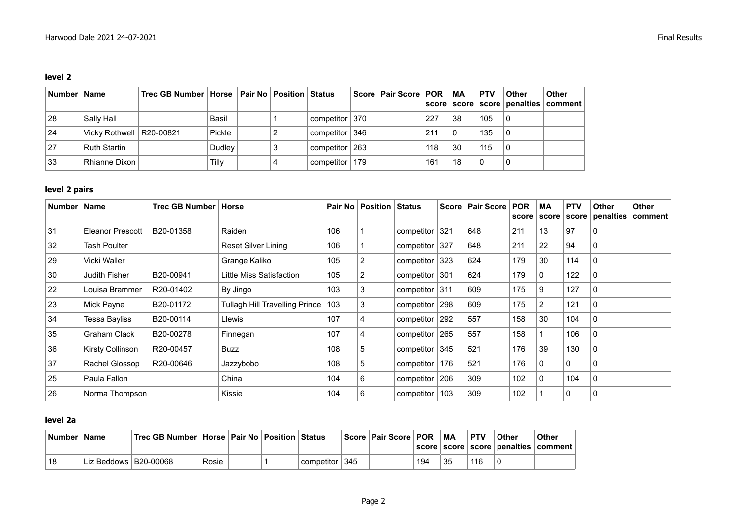#### **level 2**

| Number   Name |                            | Trec GB Number   Horse   Pair No   Position   Status |        |  |                  | Score   Pair Score   POR |     | MA | <b>PTV</b> | <b>Other</b> | ∣ Other<br>score   score   score   penalties   comment |
|---------------|----------------------------|------------------------------------------------------|--------|--|------------------|--------------------------|-----|----|------------|--------------|--------------------------------------------------------|
| 28            | Sally Hall                 |                                                      | Basil  |  | competitor   370 |                          | 227 | 38 | 105        | -0           |                                                        |
| 24            | Vicky Rothwell   R20-00821 |                                                      | Pickle |  | competitor 346   |                          | 211 | 0  | 135        |              |                                                        |
| 27            | <b>Ruth Startin</b>        |                                                      | Dudley |  | competitor   263 |                          | 118 | 30 | 115        | . 0          |                                                        |
| 33            | Rhianne Dixon              |                                                      | Tilly  |  | competitor   179 |                          | 161 | 18 | 0          |              |                                                        |

### **level 2 pairs**

| Number | <b>Name</b>             | Trec GB Number | Horse                                 |     | Pair No   Position | <b>Status</b>     |     | Score   Pair Score | <b>POR</b><br>score | MA<br>  score  | <b>PTV</b><br>score | <b>Other</b><br>penalties   comment | <b>Other</b> |
|--------|-------------------------|----------------|---------------------------------------|-----|--------------------|-------------------|-----|--------------------|---------------------|----------------|---------------------|-------------------------------------|--------------|
| 31     | <b>Eleanor Prescott</b> | B20-01358      | Raiden                                | 106 |                    | competitor $321$  |     | 648                | 211                 | 13             | 97                  | 0                                   |              |
| 32     | Tash Poulter            |                | Reset Silver Lining                   | 106 |                    | competitor        | 327 | 648                | 211                 | 22             | 94                  | 0                                   |              |
| 29     | Vicki Waller            |                | Grange Kaliko                         | 105 | 2                  | competitor        | 323 | 624                | 179                 | 30             | 114                 | 0                                   |              |
| 30     | Judith Fisher           | B20-00941      | Little Miss Satisfaction              | 105 | 2                  | competitor        | 301 | 624                | 179                 | $\mathbf{0}$   | 122                 | $\Omega$                            |              |
| 22     | Louisa Brammer          | R20-01402      | By Jingo                              | 103 | 3                  | competitor $ 311$ |     | 609                | 175                 | 9              | 127                 | 0                                   |              |
| 23     | Mick Payne              | B20-01172      | <b>Tullagh Hill Travelling Prince</b> | 103 | 3                  | competitor        | 298 | 609                | 175                 | $\overline{2}$ | 121                 | 0                                   |              |
| 34     | <b>Tessa Bayliss</b>    | B20-00114      | Llewis                                | 107 | 4                  | competitor        | 292 | 557                | 158                 | 30             | 104                 | $\Omega$                            |              |
| 35     | Graham Clack            | B20-00278      | Finnegan                              | 107 | 4                  | componentor       | 265 | 557                | 158                 |                | 106                 | $\Omega$                            |              |
| 36     | Kirsty Collinson        | R20-00457      | Buzz                                  | 108 | 5                  | competitor $ 345$ |     | 521                | 176                 | 39             | 130                 | 0                                   |              |
| 37     | Rachel Glossop          | R20-00646      | Jazzybobo                             | 108 | 5                  | competitor        | 176 | 521                | 176                 | 0              | 0                   | 0                                   |              |
| 25     | Paula Fallon            |                | China                                 | 104 | 6                  | competitor        | 206 | 309                | 102                 | $\mathbf{0}$   | 104                 | $\mathbf{0}$                        |              |
| 26     | Norma Thompson          |                | Kissie                                | 104 | 6                  | componentor       | 103 | 309                | 102                 |                | 0                   | 0                                   |              |

### **level 2a**

| Number   Name |                           | ˈ Trec GB Number   Horse   Pair No   Position   Status |       |  |                   | Score   Pair Score   POR |     | МA | <b>PTV</b> | <b>Other</b> | Other<br>  score   score   score   penalties   comment |
|---------------|---------------------------|--------------------------------------------------------|-------|--|-------------------|--------------------------|-----|----|------------|--------------|--------------------------------------------------------|
| 18            | ˈ Liz Beddows   B20-00068 |                                                        | Rosie |  | competitor $ 345$ |                          | 194 | 35 | 116        |              |                                                        |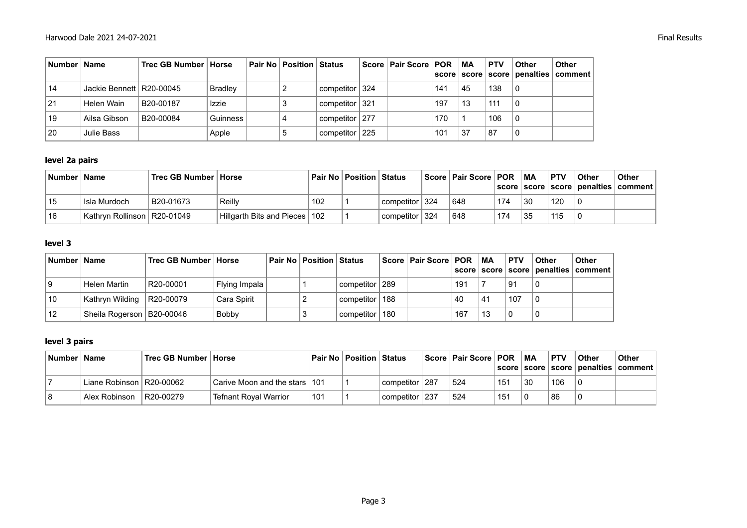| Number   Name |                            | Trec GB Number   Horse |                | Pair No   Position   Status |                  | Score   Pair Score   POR |     | <b>MA</b><br>score score | <b>PTV</b> | <b>Other</b> | Other<br>  score   penalties   comment |
|---------------|----------------------------|------------------------|----------------|-----------------------------|------------------|--------------------------|-----|--------------------------|------------|--------------|----------------------------------------|
| 14            | Jackie Bennett   R20-00045 |                        | <b>Bradley</b> |                             | competitor   324 |                          | 141 | 45                       | 138        | 0            |                                        |
| 21            | Helen Wain                 | B20-00187              | Izzie          |                             | competitor   321 |                          | 197 | 13                       | 111        | 0            |                                        |
| 19            | Ailsa Gibson               | B20-00084              | Guinness       |                             | competitor 277   |                          | 170 |                          | 106        | 0            |                                        |
| 20            | Julie Bass                 |                        | Apple          | 5                           | competitor   225 |                          | 101 | 37                       | 87         | 0            |                                        |

#### **level 2a pairs**

| Number <b>b</b> | <b>Name</b>                   | Trec GB Number   Horse |                                 |     | Pair No   Position   Status |                    | Score   Pair Score   POR |     | МA | <b>PTV</b> | Other | <b>Other</b><br>  score   score   score   penalties   comment |
|-----------------|-------------------------------|------------------------|---------------------------------|-----|-----------------------------|--------------------|--------------------------|-----|----|------------|-------|---------------------------------------------------------------|
| 15              | Isla Murdoch                  | B20-01673              | Reilly                          | 102 |                             | competitor   324   | 648                      | 174 | 30 | 120        | l O   |                                                               |
| 16              | Kathryn Rollinson   R20-01049 |                        | Hillgarth Bits and Pieces   102 |     |                             | l competitor ∣ 324 | 648                      | 174 | 35 | 115        |       |                                                               |

#### **level 3**

| Number   Name |                             | Trec GB Number   Horse |               | <b>Pair No   Position   Status</b> |                    | ∣ Score ∣ Pair Score ∣ POR ∣ |     | МA | <b>PTV</b> | <b>Other</b> | <b>Other</b><br>score   score   score   penalties   comment |
|---------------|-----------------------------|------------------------|---------------|------------------------------------|--------------------|------------------------------|-----|----|------------|--------------|-------------------------------------------------------------|
|               | Helen Martin                | R20-00001              | Flying Impala |                                    | competitor 289     |                              | 191 |    | 91         |              |                                                             |
| 10            | Kathryn Wilding R20-00079   |                        | Cara Spirit   |                                    | competitor   188   |                              | 40  | 41 | .107       |              |                                                             |
| 12            | Sheila Rogerson   B20-00046 |                        | <b>Bobby</b>  |                                    | ' competitor ∣ 180 |                              | 167 | 13 |            |              |                                                             |

## **level 3 pairs**

| <b>Number</b> | <b>Name</b>                | Trec GB Number   Horse |                                 | Pair No | Position Status |                  | Score   Pair Score   POR |     | МA | <b>PTV</b> | Other | <b>Other</b><br>  score   score   score   penalties   comment |
|---------------|----------------------------|------------------------|---------------------------------|---------|-----------------|------------------|--------------------------|-----|----|------------|-------|---------------------------------------------------------------|
|               | Liane Robinson   R20-00062 |                        | Carive Moon and the stars   101 |         |                 | competitor   287 | 524                      | 151 | 30 | 106        |       |                                                               |
|               | Alex Robinson              | R20-00279              | Tefnant Royal Warrior           | 101     |                 | competitor   237 | 524                      | 151 |    | 86         |       |                                                               |